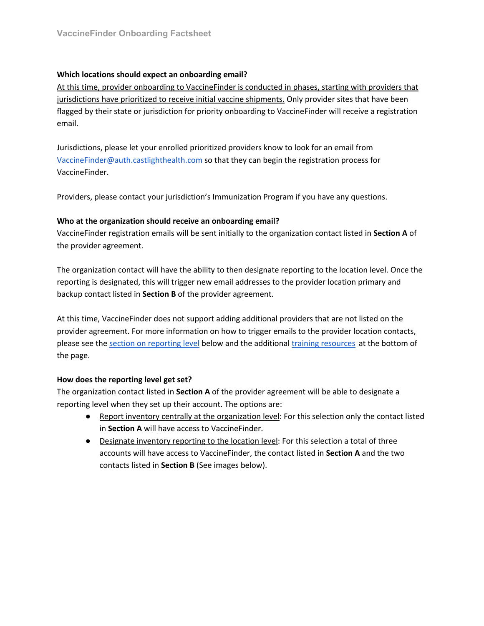# **Which locations should expect an onboarding email?**

At this time, provider onboarding to VaccineFinder is conducted in phases, starting with providers that jurisdictions have prioritized to receive initial vaccine shipments. Only provider sites that have been flagged by their state or jurisdiction for priority onboarding to VaccineFinder will receive a registration email.

Jurisdictions, please let your enrolled prioritized providers know to look for an email from VaccineFinder@auth.castlighthealth.com so that they can begin the registration process for VaccineFinder.

Providers, please contact your jurisdiction's Immunization Program if you have any questions.

# **Who at the organization should receive an onboarding email?**

VaccineFinder registration emails will be sent initially to the organization contact listed in **Section A** of the provider agreement.

The organization contact will have the ability to then designate reporting to the location level. Once the reporting is designated, this will trigger new email addresses to the provider location primary and backup contact listed in **Section B** of the provider agreement.

At this time, VaccineFinder does not support adding additional providers that are not listed on the provider agreement. For more information on how to trigger emails to the provider location contacts, please see the section on reporting level below and the additional training resources at the bottom of the page.

## **How does the reporting level get set?**

The organization contact listed in **Section A** of the provider agreement will be able to designate a reporting level when they set up their account. The options are:

- Report inventory centrally at the organization level: For this selection only the contact listed in **Section A** will have access to VaccineFinder.
- Designate inventory reporting to the location level: For this selection a total of three accounts will have access to VaccineFinder, the contact listed in **Section A** and the two contacts listed in **Section B** (See images below).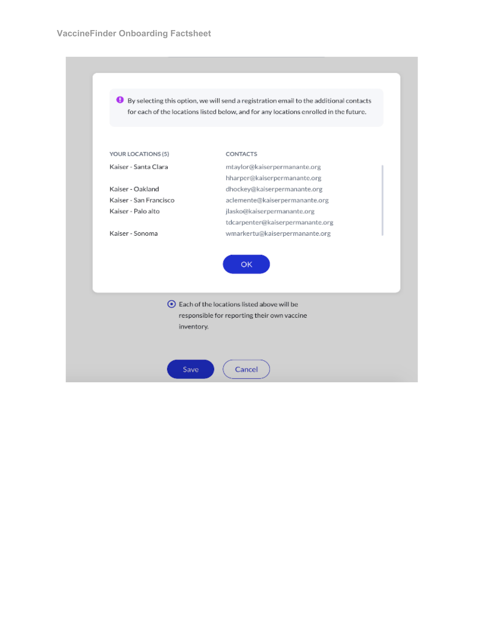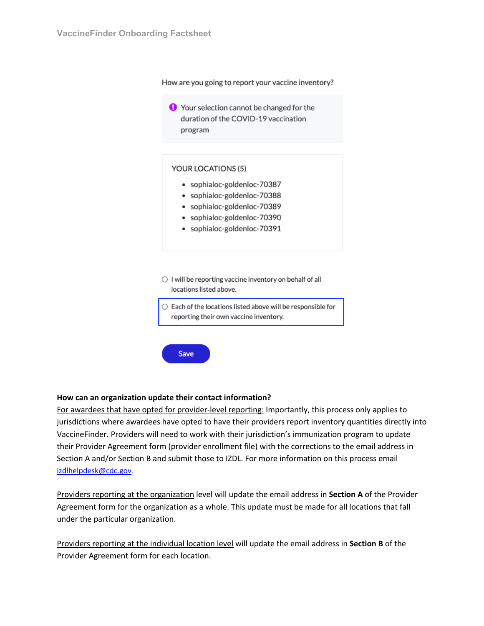How are you going to report your vaccine inventory?

 $\Theta$  Your selection cannot be changed for the duration of the COVID-19 vaccination program

#### YOUR LOCATIONS (5)

- · sophialoc-goldenloc-70387
- · sophialoc-goldenloc-70388
- · sophialoc-goldenloc-70389
- · sophialoc-goldenloc-70390
- · sophialoc-goldenloc-70391
- $\bigcirc$  I will be reporting vaccine inventory on behalf of all locations listed above.
- $\bigcirc$  Each of the locations listed above will be responsible for reporting their own vaccine inventory.



### **How can an organization update their contact information?**

For awardees that have opted for provider-level reporting: Importantly, this process only applies to jurisdictions where awardees have opted to have their providers report inventory quantities directly into VaccineFinder. Providers will need to work with their jurisdiction's immunization program to update their Provider Agreement form (provider enrollment file) with the corrections to the email address in Section A and/or Section B and submit those to IZDL. For more information on this process email izdlhelpdesk@cdc.gov.

Providers reporting at the organization level will update the email address in **Section A** of the Provider Agreement form for the organization as a whole. This update must be made for all locations that fall under the particular organization.

Providers reporting at the individual location level will update the email address in **Section B** of the Provider Agreement form for each location.